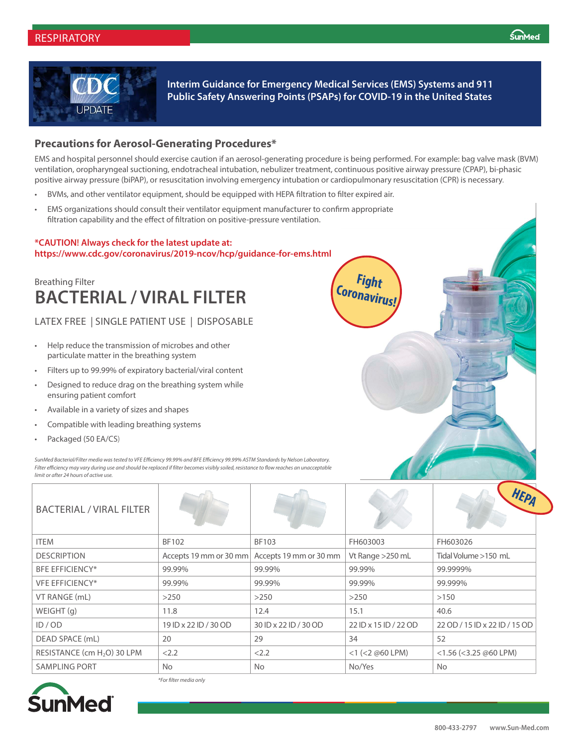

**Interim Guidance for Emergency Medical Services (EMS) Systems and 911 Public Safety Answering Points (PSAPs) for COVID-19 in the United States**

> **Fight Coronavirus!**

#### **Precautions for Aerosol-Generating Procedures\***

EMS and hospital personnel should exercise caution if an aerosol-generating procedure is being performed. For example: bag valve mask (BVM) ventilation, oropharyngeal suctioning, endotracheal intubation, nebulizer treatment, continuous positive airway pressure (CPAP), bi-phasic positive airway pressure (biPAP), or resuscitation involving emergency intubation or cardiopulmonary resuscitation (CPR) is necessary.

- BVMs, and other ventilator equipment, should be equipped with HEPA filtration to filter expired air.
- EMS organizations should consult their ventilator equipment manufacturer to confirm appropriate filtration capability and the effect of filtration on positive-pressure ventilation.

#### **\*CAUTION! Always check for the latest update at: https://www.cdc.gov/coronavirus/2019-ncov/hcp/guidance-for-ems.html**

## **BACTERIAL / VIRAL FILTER** Breathing Filter

### LATEX FREE | SINGLE PATIENT USE | DISPOSABLE

- Help reduce the transmission of microbes and other particulate matter in the breathing system
- Filters up to 99.99% of expiratory bacterial/viral content
- Designed to reduce drag on the breathing system while ensuring patient comfort
- Available in a variety of sizes and shapes
- Compatible with leading breathing systems
- Packaged (50 EA/CS)

*SunMed Bacterial/Filter media was tested to VFE Efficiency 99.99% and BFE Efficiency 99.99% ASTM Standards by Nelson Laboratory. Filter efficiency may vary during use and should be replaced if filter becomes visibly soiled, resistance to flow reaches an unacceptable limit or after 24 hours of active use.*

| <b>BACTERIAL / VIRAL FILTER</b>         |                       |                                               |                        |                               |
|-----------------------------------------|-----------------------|-----------------------------------------------|------------------------|-------------------------------|
| <b>ITEM</b>                             | BF102                 | <b>BF103</b>                                  | FH603003               | FH603026                      |
| <b>DESCRIPTION</b>                      |                       | Accepts 19 mm or 30 mm Accepts 19 mm or 30 mm | Vt Range > 250 mL      | Tidal Volume >150 mL          |
| <b>BFE EFFICIENCY*</b>                  | 99.99%                | 99.99%                                        | 99.99%                 | 99.9999%                      |
| <b>VFE EFFICIENCY*</b>                  | 99.99%                | 99.99%                                        | 99.99%                 | 99.999%                       |
| VT RANGE (mL)                           | >250                  | >250                                          | >250                   | >150                          |
| WEIGHT(q)                               | 11.8                  | 12.4                                          | 15.1                   | 40.6                          |
| ID / OD                                 | 19 ID x 22 ID / 30 OD | 30 ID x 22 ID / 30 OD                         | 22 ID x 15 ID / 22 OD  | 22 OD / 15 ID x 22 ID / 15 OD |
| DEAD SPACE (mL)                         | 20                    | 29                                            | 34                     | 52                            |
| RESISTANCE (cm H <sub>2</sub> O) 30 LPM | < 2.2                 | < 2.2                                         | $<$ 1 ( $<$ 2 @60 LPM) | $<$ 1.56 ( $<$ 3.25 @60 LPM)  |
| <b>SAMPLING PORT</b>                    | <b>No</b>             | <b>No</b>                                     | No/Yes                 | <b>No</b>                     |